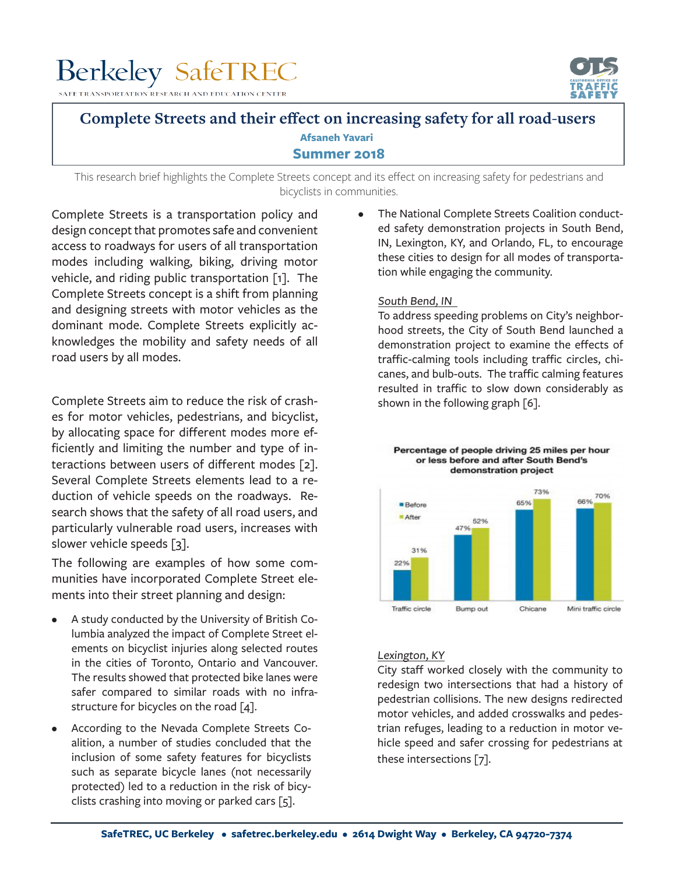# **Berkeley SafeTREC**

ON RESEARCH AND EDUCATION CENTER



## **Complete Streets and their effect on increasing safety for all road-users Summer 2018 Afsaneh Yavari**

This research brief highlights the Complete Streets concept and its effect on increasing safety for pedestrians and bicyclists in communities.

Complete Streets is a transportation policy and design concept that promotes safe and convenient access to roadways for users of all transportation modes including walking, biking, driving motor vehicle, and riding public transportation [1]. The Complete Streets concept is a shift from planning and designing streets with motor vehicles as the dominant mode. Complete Streets explicitly acknowledges the mobility and safety needs of all road users by all modes.

Complete Streets aim to reduce the risk of crashes for motor vehicles, pedestrians, and bicyclist, by allocating space for different modes more efficiently and limiting the number and type of interactions between users of different modes [2]. Several Complete Streets elements lead to a reduction of vehicle speeds on the roadways. Research shows that the safety of all road users, and particularly vulnerable road users, increases with slower vehicle speeds [3].

The following are examples of how some communities have incorporated Complete Street elements into their street planning and design:

- A study conducted by the University of British Columbia analyzed the impact of Complete Street elements on bicyclist injuries along selected routes in the cities of Toronto, Ontario and Vancouver. The results showed that protected bike lanes were safer compared to similar roads with no infrastructure for bicycles on the road  $[4]$ .
- According to the Nevada Complete Streets Coalition, a number of studies concluded that the inclusion of some safety features for bicyclists such as separate bicycle lanes (not necessarily protected) led to a reduction in the risk of bicyclists crashing into moving or parked cars [5].

The National Complete Streets Coalition conducted safety demonstration projects in South Bend, IN, Lexington, KY, and Orlando, FL, to encourage these cities to design for all modes of transportation while engaging the community.

### South Bend, IN

To address speeding problems on City's neighborhood streets, the City of South Bend launched a demonstration project to examine the effects of traffic-calming tools including traffic circles, chicanes, and bulb-outs. The traffic calming features resulted in traffic to slow down considerably as shown in the following graph [6].

#### Percentage of people driving 25 miles per hour or less before and after South Bend's demonstration project



## Lexington, KY

City staff worked closely with the community to redesign two intersections that had a history of pedestrian collisions. The new designs redirected motor vehicles, and added crosswalks and pedestrian refuges, leading to a reduction in motor vehicle speed and safer crossing for pedestrians at these intersections [7].